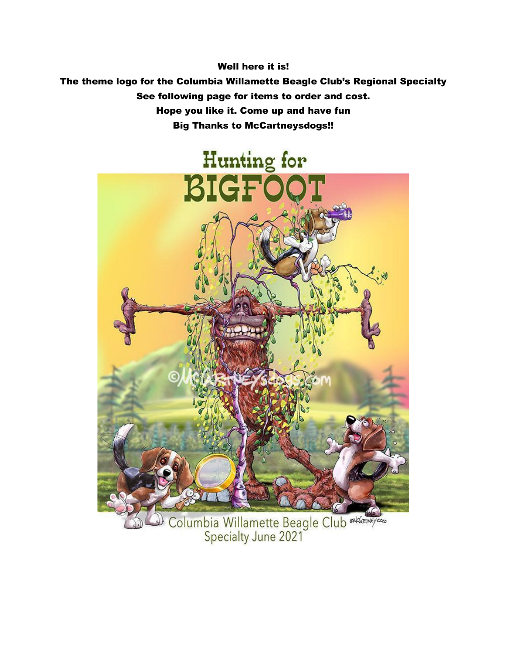Well here it is!

The theme logo for the Columbia Willamette Beagle Club's Regional Specialty See following page for items to order and cost. Hope you like it. Come up and have fun Big Thanks to McCartneysdogs!!



Columbia Willamette Beagle Club alexandre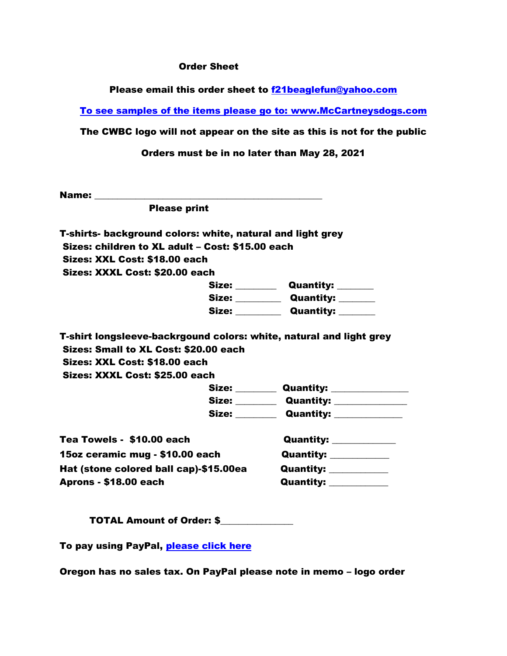## Order Sheet

Please email this order sheet to [f21beaglefun@yahoo.com](mailto:f21beaglefun@yahoo.com)

To see samples of the items please go to: [www.McCartneysdogs.com](http://www.mccartneysdogs.com/)

The CWBC logo will not appear on the site as this is not for the public

Orders must be in no later than May 28, 2021

Name: \_\_\_\_\_\_\_\_\_\_\_\_\_\_\_\_\_\_\_\_\_\_\_\_\_\_\_\_\_\_\_\_\_\_\_\_\_\_\_\_\_\_\_\_\_\_\_\_\_\_

Please print

| T-shirts- background colors: white, natural and light grey |
|------------------------------------------------------------|
| Sizes: children to XL adult - Cost: \$15.00 each           |
| Sizes: XXL Cost: \$18.00 each                              |
| Sizes: XXXL Cost: \$20.00 each                             |
|                                                            |

| Size: | <b>Quantity:</b> |
|-------|------------------|
| Size: | <b>Quantity:</b> |
| Size: | <b>Quantity:</b> |

T-shirt longsleeve-backrgound colors: white, natural and light grey Sizes: Small to XL Cost: \$20.00 each Sizes: XXL Cost: \$18.00 each Sizes: XXXL Cost: \$25.00 each

| Size: | <b>Quantity:</b> |  |
|-------|------------------|--|
| Size: | <b>Quantity:</b> |  |
| Size: | <b>Quantity:</b> |  |

| Tea Towels - \$10.00 each              | <b>Quantity:</b> |
|----------------------------------------|------------------|
| 15oz ceramic mug - \$10.00 each        | <b>Quantity:</b> |
| Hat (stone colored ball cap)-\$15.00ea | <b>Quantity:</b> |
| <b>Aprons - \$18.00 each</b>           | <b>Quantity:</b> |

TOTAL Amount of Order: \$\_\_\_\_\_\_\_\_\_\_\_\_\_\_\_\_

To pay using PayPal, [please click here](https://paypal.me/CWBCSpecialtyGoods?locale.x=en_US)

Oregon has no sales tax. On PayPal please note in memo – logo order